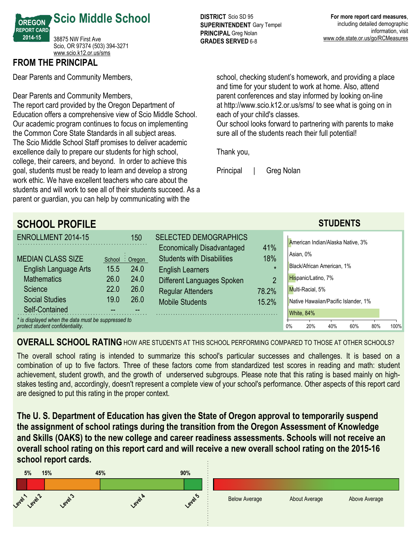

## **FROM THE PRINCIPAL**

Dear Parents and Community Members,

Dear Parents and Community Members,

The report card provided by the Oregon Department of Education offers a comprehensive view of Scio Middle School. Our academic program continues to focus on implementing the Common Core State Standards in all subject areas. The Scio Middle School Staff promises to deliver academic excellence daily to prepare our students for high school, college, their careers, and beyond. In order to achieve this goal, students must be ready to learn and develop a strong work ethic. We have excellent teachers who care about the students and will work to see all of their students succeed. As a parent or guardian, you can help by communicating with the

**DISTRICT** Scio SD 95 **SUPERINTENDENT** Gary Tempel **PRINCIPAL** Greg Nolan **GRADES SERVED 6-8** 

school, checking student's homework, and providing a place and time for your student to work at home. Also, attend parent conferences and stay informed by looking on-line at http://www.scio.k12.or.us/sms/ to see what is going on in each of your child's classes.

Our school looks forward to partnering with parents to make sure all of the students reach their full potential!

Thank you,

Principal | Greg Nolan

| <b>SCHOOL PROFILE</b>                                                                  |      |                 |                                                                        |                |    |                                      | <b>STUDENTS</b> |     |     |      |
|----------------------------------------------------------------------------------------|------|-----------------|------------------------------------------------------------------------|----------------|----|--------------------------------------|-----------------|-----|-----|------|
| <b>ENROLLMENT 2014-15</b>                                                              |      | 150             | <b>SELECTED DEMOGRAPHICS</b>                                           | 41%            |    | American Indian/Alaska Native, 3%    |                 |     |     |      |
| <b>MEDIAN CLASS SIZE</b>                                                               |      | School : Oregon | <b>Economically Disadvantaged</b><br><b>Students with Disabilities</b> | 18%            |    | Asian, 0%                            |                 |     |     |      |
| English Language Arts                                                                  | 15.5 | 24.0            | <b>English Learners</b>                                                | $\star$        |    | Black/African American, 1%           |                 |     |     |      |
| <b>Mathematics</b>                                                                     | 26.0 | 24.0            | Different Languages Spoken                                             | $\overline{2}$ |    | Hispanic/Latino, 7%                  |                 |     |     |      |
| Science                                                                                | 22.0 | 26.0            | <b>Regular Attenders</b>                                               | 78.2%          |    | Multi-Racial, 5%                     |                 |     |     |      |
| <b>Social Studies</b>                                                                  | 19.0 | 26.0            | <b>Mobile Students</b>                                                 | 15.2%          |    | Native Hawaiian/Pacific Islander, 1% |                 |     |     |      |
| Self-Contained                                                                         |      |                 |                                                                        |                |    | White, 84%                           |                 |     |     |      |
| * is displayed when the data must be suppressed to<br>protect student confidentiality. |      |                 |                                                                        |                | 0% | 20%                                  | 40%             | 60% | 80% | 100% |

**OVERALL SCHOOL RATING** HOW ARE STUDENTS AT THIS SCHOOL PERFORMING COMPARED TO THOSE AT OTHER SCHOOLS?

The overall school rating is intended to summarize this school's particular successes and challenges. It is based on a combination of up to five factors. Three of these factors come from standardized test scores in reading and math: student achievement, student growth, and the growth of underserved subgroups. Please note that this rating is based mainly on highstakes testing and, accordingly, doesn't represent a complete view of your school's performance. Other aspects of this report card are designed to put this rating in the proper context.

**The U. S. Department of Education has given the State of Oregon approval to temporarily suspend the assignment of school ratings during the transition from the Oregon Assessment of Knowledge and Skills (OAKS) to the new college and career readiness assessments. Schools will not receive an overall school rating on this report card and will receive a new overall school rating on the 201516 school report cards.**

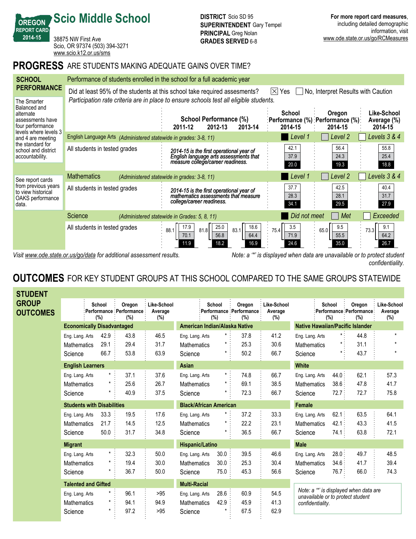38875 NW First Ave Scio, OR 97374 (503) 394-3271 <www.scio.k12.or.us/sms>

**Scio Middle School**

**OREGON REPORT CARD 201415**

## **PROGRESS** ARE STUDENTS MAKING ADEQUATE GAINS OVER TIME?

| <b>SCHOOL</b>                                                                                                                                                                                | Performance of students enrolled in the school for a full academic year                                                               |                                                                                                                                                   |                             |                                                         |                                       |  |  |  |  |  |  |
|----------------------------------------------------------------------------------------------------------------------------------------------------------------------------------------------|---------------------------------------------------------------------------------------------------------------------------------------|---------------------------------------------------------------------------------------------------------------------------------------------------|-----------------------------|---------------------------------------------------------|---------------------------------------|--|--|--|--|--|--|
| <b>PERFORMANCE</b>                                                                                                                                                                           | Did at least 95% of the students at this school take required assesments?<br>No, Interpret Results with Caution<br>$ \times $<br>Yes: |                                                                                                                                                   |                             |                                                         |                                       |  |  |  |  |  |  |
| The Smarter<br>Balanced and<br>alternate<br>assessments have<br>four performance<br>levels where levels 3<br>and 4 are meeting<br>the standard for<br>school and district<br>accountability. |                                                                                                                                       | Participation rate criteria are in place to ensure schools test all eligible students.<br>School Performance (%)<br>2012-13<br>2013-14<br>2011-12 | <b>School</b><br>2014-15    | Oregon<br>:Performance (%) :Performance (%):<br>2014-15 | Like-School<br>Average (%)<br>2014-15 |  |  |  |  |  |  |
|                                                                                                                                                                                              | English Language Arts (Administered statewide in grades: 3-8, 11)                                                                     |                                                                                                                                                   | Level 1                     | Level 2                                                 | Levels 3 & 4                          |  |  |  |  |  |  |
|                                                                                                                                                                                              | All students in tested grades                                                                                                         | 2014-15 is the first operational year of<br>English language arts assessments that<br>measure college/career readiness.                           | 42.1<br>37.9<br>20.0        | 56.4<br>24.3<br>19.3                                    | 55.8<br>25.4<br>18.8                  |  |  |  |  |  |  |
| See report cards<br>from previous years<br>to view historical<br>OAKS performance<br>data.                                                                                                   | <b>Mathematics</b>                                                                                                                    | (Administered statewide in grades: 3-8, 11)                                                                                                       | Level 1                     | Level 2                                                 | Levels 3 & 4                          |  |  |  |  |  |  |
|                                                                                                                                                                                              | All students in tested grades                                                                                                         | 2014-15 is the first operational year of<br>mathematics assessments that measure<br>college/career readiness.                                     | 37.7<br>28.3<br>34.1        | 42.5<br>28.1<br>29.5                                    | 40.4<br>31.7<br>27.9                  |  |  |  |  |  |  |
|                                                                                                                                                                                              | Science                                                                                                                               | (Administered statewide in Grades: 5, 8, 11)                                                                                                      | Did not meet                | Met                                                     | Exceeded                              |  |  |  |  |  |  |
|                                                                                                                                                                                              | All students in tested grades                                                                                                         | 18.6<br>25.0<br>17.9<br>83.1<br>81.8<br>88.1<br>56.8<br>64.4<br>70.1<br>18.2<br>16.9<br>11.9                                                      | 3.5<br>75.4<br>71.9<br>24.6 | 9.5<br>65.0<br>55.5<br>35.0                             | 9.1<br>73.3<br>64.2<br>26.7           |  |  |  |  |  |  |

*Visit www.ode.state.or.us/go/data for additional assessment results. Note: a '\*' is displayed when data are unavailable or to protect student confidentiality.*

## **OUTCOMES** FOR KEY STUDENT GROUPS AT THIS SCHOOL COMPARED TO THE SAME GROUPS STATEWIDE

| <b>STUDENT</b>                  |                                                  |                                   |                                            |                               |                                                  |                                         |                                             |                               |                                                                                                |                                  |                                          |                                  |
|---------------------------------|--------------------------------------------------|-----------------------------------|--------------------------------------------|-------------------------------|--------------------------------------------------|-----------------------------------------|---------------------------------------------|-------------------------------|------------------------------------------------------------------------------------------------|----------------------------------|------------------------------------------|----------------------------------|
| <b>GROUP</b><br><b>OUTCOMES</b> |                                                  | School<br>(%)                     | Oregon<br>Performance Performance :<br>(%) | Like-School<br>Average<br>(%) |                                                  | School<br>(%)                           | Oregon<br>:Performance : Performance<br>(%) | Like-School<br>Average<br>(%) |                                                                                                | School<br>(%)                    | Oregon<br>Performance Performance<br>(%) | Like-School<br>Average<br>$(\%)$ |
|                                 | <b>Economically Disadvantaged</b>                |                                   | American Indian/Alaska Native              |                               |                                                  | <b>Native Hawaiian/Pacific Islander</b> |                                             |                               |                                                                                                |                                  |                                          |                                  |
|                                 | Eng. Lang. Arts<br><b>Mathematics</b><br>Science | 42.9<br>29.1<br>66.7              | 43.8<br>29.4<br>53.8                       | 46.5<br>31.7<br>63.9          | Eng. Lang. Arts<br><b>Mathematics</b><br>Science | $\star$ :<br>$^\star$<br>$^{\star}$     | 37.8<br>25.3<br>50.2                        | 41.2<br>30.6<br>66.7          | Eng. Lang. Arts<br><b>Mathematics</b><br>Science                                               | $\star$ :<br>$\star$ :           | 44.8<br>31.1<br>43.7                     | $\star$<br>$^\star$<br>$\star$   |
|                                 | <b>English Learners</b>                          |                                   |                                            |                               | Asian                                            |                                         |                                             |                               | <b>White</b>                                                                                   |                                  |                                          |                                  |
|                                 | Eng. Lang. Arts<br><b>Mathematics</b><br>Science | $\star$ :                         | 37.1<br>25.6<br>40.9                       | 37.6<br>26.7<br>37.5          | Eng. Lang. Arts<br><b>Mathematics</b><br>Science | $\star$ .<br>$^{\star}$ :               | 74.8<br>69.1<br>72.3                        | 66.7<br>38.5<br>66.7          | Eng. Lang. Arts<br><b>Mathematics</b><br>Science                                               | 44.0:<br>38.6:<br>$72.7$ :       | 62.1<br>47.8<br>72.7                     | 57.3<br>41.7<br>75.8             |
|                                 |                                                  | <b>Students with Disabilities</b> |                                            |                               | <b>Black/African American</b>                    |                                         |                                             |                               | <b>Female</b>                                                                                  |                                  |                                          |                                  |
|                                 | Eng. Lang. Arts<br><b>Mathematics</b><br>Science | 33.3<br>21.7<br>50.0              | 19.5<br>14.5<br>31.7                       | 17.6<br>12.5<br>34.8          | Eng. Lang. Arts<br><b>Mathematics</b><br>Science | $^\star$<br>*<br>*                      | 37.2<br>22.2<br>36.5                        | 33.3<br>23.1<br>66.7          | Eng. Lang. Arts<br><b>Mathematics</b><br>Science                                               | 62.1:<br>42.1<br>74.1            | 63.5<br>43.3<br>63.8                     | 64.1<br>41.5<br>72.1             |
|                                 | <b>Migrant</b>                                   |                                   |                                            |                               | Hispanic/Latino                                  |                                         |                                             |                               | <b>Male</b>                                                                                    |                                  |                                          |                                  |
|                                 | Eng. Lang. Arts<br><b>Mathematics</b><br>Science | $\star$<br>$\star$                | 32.3<br>19.4<br>36.7                       | 50.0<br>30.0<br>50.0          | Eng. Lang. Arts<br><b>Mathematics</b><br>Science | 30.0<br>30.0<br>75.0                    | 39.5<br>25.3<br>45.3                        | 46.6<br>30.4<br>56.6          | Eng. Lang. Arts<br><b>Mathematics</b><br>Science                                               | 28.0:<br>34.6:<br>$76.7^{\circ}$ | 49.7<br>41.7<br>66.0                     | 48.5<br>39.4<br>74.3             |
|                                 | <b>Talented and Gifted</b>                       |                                   |                                            |                               | <b>Multi-Racial</b>                              |                                         |                                             |                               |                                                                                                |                                  |                                          |                                  |
|                                 | Eng. Lang. Arts<br><b>Mathematics</b><br>Science | $\star$ .<br>$\star$<br>$\star$   | 96.1<br>94.1<br>97.2                       | >95<br>94.9<br>>95            | Eng. Lang. Arts<br><b>Mathematics</b><br>Science | 28.6<br>42.9                            | 60.9<br>45.9<br>67.5                        | 54.5<br>41.3<br>62.9          | Note: a "" is displayed when data are<br>unavailable or to protect student<br>confidentiality. |                                  |                                          |                                  |